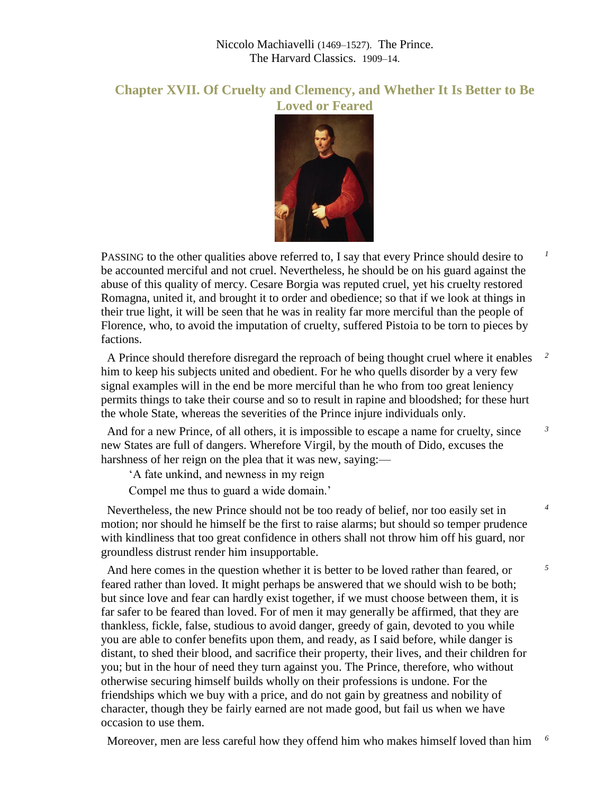## Niccolo Machiavelli (1469–1527). The Prince. The Harvard Classics. 1909–14.

## **Chapter XVII. Of Cruelty and Clemency, and Whether It Is Better to Be Loved or Feared**



PASSING to the other qualities above referred to, I say that every Prince should desire to be accounted merciful and not cruel. Nevertheless, he should be on his guard against the abuse of this quality of mercy. Cesare Borgia was reputed cruel, yet his cruelty restored Romagna, united it, and brought it to order and obedience; so that if we look at things in their true light, it will be seen that he was in reality far more merciful than the people of Florence, who, to avoid the imputation of cruelty, suffered Pistoia to be torn to pieces by factions.

 *1*

 *3*

 *4*

 *5*

 A Prince should therefore disregard the reproach of being thought cruel where it enables him to keep his subjects united and obedient. For he who quells disorder by a very few signal examples will in the end be more merciful than he who from too great leniency permits things to take their course and so to result in rapine and bloodshed; for these hurt the whole State, whereas the severities of the Prince injure individuals only.  *2*

 And for a new Prince, of all others, it is impossible to escape a name for cruelty, since new States are full of dangers. Wherefore Virgil, by the mouth of Dido, excuses the harshness of her reign on the plea that it was new, saying:—

'A fate unkind, and newness in my reign

Compel me thus to guard a wide domain.'

 Nevertheless, the new Prince should not be too ready of belief, nor too easily set in motion; nor should he himself be the first to raise alarms; but should so temper prudence with kindliness that too great confidence in others shall not throw him off his guard, nor groundless distrust render him insupportable.

 And here comes in the question whether it is better to be loved rather than feared, or feared rather than loved. It might perhaps be answered that we should wish to be both; but since love and fear can hardly exist together, if we must choose between them, it is far safer to be feared than loved. For of men it may generally be affirmed, that they are thankless, fickle, false, studious to avoid danger, greedy of gain, devoted to you while you are able to confer benefits upon them, and ready, as I said before, while danger is distant, to shed their blood, and sacrifice their property, their lives, and their children for you; but in the hour of need they turn against you. The Prince, therefore, who without otherwise securing himself builds wholly on their professions is undone. For the friendships which we buy with a price, and do not gain by greatness and nobility of character, though they be fairly earned are not made good, but fail us when we have occasion to use them.

Moreover, men are less careful how they offend him who makes himself loved than him *6*